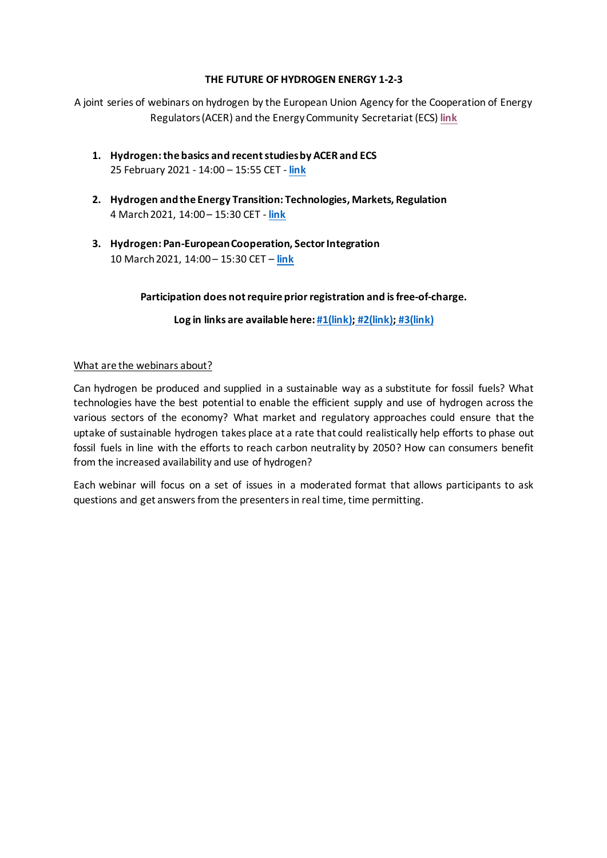#### **THE FUTURE OF HYDROGEN ENERGY 1-2-3**

A joint series of webinars on hydrogen by the European Union Agency for the Cooperation of Energy Regulators(ACER) and the Energy Community Secretariat (ECS) **[link](https://www.energy-community.org/events/2021/02/HYDROGEN_WEB1.html)**

- **1. Hydrogen: the basics and recent studies by ACER and ECS** 25 February 2021 - 14:00 – 15:55 CET - **[link](https://www.energy-community.org/events/2021/02/HYDROGEN_WEB1.html)**
- **2. Hydrogen and the Energy Transition: Technologies, Markets, Regulation** 4 March 2021, 14:00 – 15:30 CET - **[link](https://www.energy-community.org/events/2021/03/HYDROGEN_WEB2.html)**
- **3. Hydrogen: Pan-European Cooperation, Sector Integration** 10 March 2021, 14:00 – 15:30 CET – **[link](https://www.energy-community.org/events/2021/03/HYDROGEN_WEB3.html)**

Participation does not require prior registration and is free-of-charge.

**Log in links are available here: [#1\(link\);](https://www.energy-community.org/events/2021/02/HYDROGEN_WEB1.html) [#2\(link\);](https://www.energy-community.org/events/2021/03/HYDROGEN_WEB2.html) [#3\(link\)](https://www.energy-community.org/events/2021/03/HYDROGEN_WEB3.html)**

#### What are the webinars about?

Can hydrogen be produced and supplied in a sustainable way as a substitute for fossil fuels? What technologies have the best potential to enable the efficient supply and use of hydrogen across the various sectors of the economy? What market and regulatory approaches could ensure that the uptake of sustainable hydrogen takes place at a rate that could realistically help efforts to phase out fossil fuels in line with the efforts to reach carbon neutrality by 2050? How can consumers benefit from the increased availability and use of hydrogen?

Each webinar will focus on a set of issues in a moderated format that allows participants to ask questions and get answers from the presenters in real time, time permitting.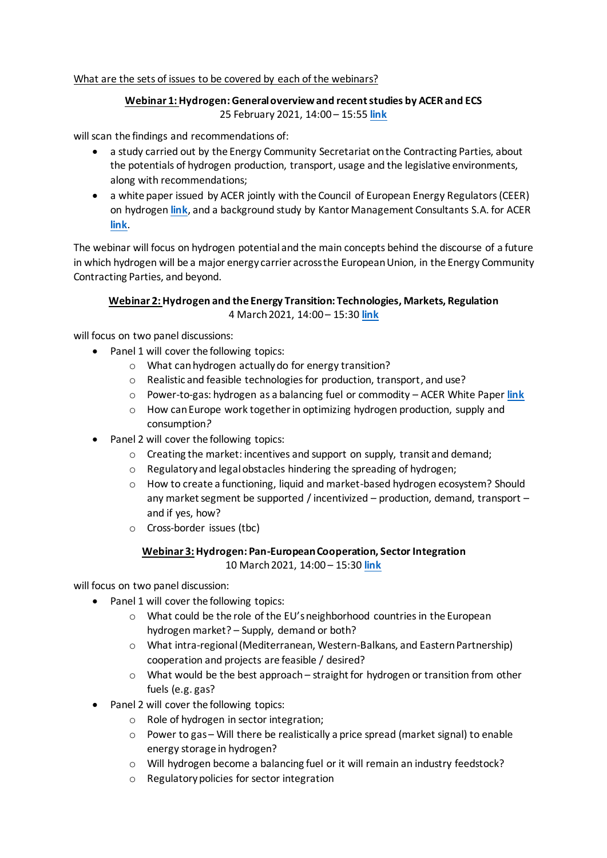## What are the sets of issues to be covered by each of the webinars?

## **Webinar 1:Hydrogen:General overviewand recent studies by ACER and ECS** 25 February 2021, 14:00 – 15:55 **[link](https://www.energy-community.org/events/2021/02/HYDROGEN_WEB1.html)**

will scan the findings and recommendations of:

- a study carried out by the Energy Community Secretariat onthe Contracting Parties, about the potentials of hydrogen production, transport, usage and the legislative environments, along with recommendations;
- a white paper issued by ACER jointly with the Council of European Energy Regulators(CEER) on hydrogen **[link](https://www.acer.europa.eu/en/Gas/Pages/Low-carbon-gasses.aspx)**, and a background study by Kantor Management Consultants S.A. for ACER **[link](https://www.acer.europa.eu/en/Gas/Documents/ACER%20H2%20Paper_%20vFinal_clean.pdf)**.

The webinar will focus on hydrogen potential and the main concepts behind the discourse of a future in which hydrogen will be a major energy carrier across the European Union, in the Energy Community Contracting Parties, and beyond.

# **Webinar 2:Hydrogen and the Energy Transition: Technologies, Markets, Regulation** 4 March 2021, 14:00 – 15:30 **[link](https://www.energy-community.org/events/2021/03/HYDROGEN_WEB2.html)**

will focus on two panel discussions:

- Panel 1 will cover the following topics:
	- o What can hydrogen actually do for energy transition?
	- o Realistic and feasible technologies for production, transport, and use?
	- o Power-to-gas: hydrogen as a balancing fuel or commodity ACER White Paper **[link](https://www.acer.europa.eu/en/Gas/Pages/Low-carbon-gasses.aspx)**
	- $\circ$  How can Europe work together in optimizing hydrogen production, supply and consumption*?*
- Panel 2 will cover the following topics:
	- $\circ$  Creating the market: incentives and support on supply, transit and demand;
	- o Regulatory and legal obstacles hindering the spreading of hydrogen;
	- o How to create a functioning, liquid and market-based hydrogen ecosystem? Should any market segment be supported / incentivized – production, demand, transport – and if yes, how?
	- o Cross-border issues (tbc)

#### **Webinar 3: Hydrogen: Pan-European Cooperation, Sector Integration**

10 March 2021, 14:00 – 15:30 **[link](https://www.energy-community.org/events/2021/03/HYDROGEN_WEB3.html)**

will focus on two panel discussion:

- Panel 1 will cover the following topics:
	- o What could be the role of the EU's neighborhood countries in the European hydrogen market? – Supply, demand or both?
	- o What intra-regional (Mediterranean, Western-Balkans, and Eastern Partnership) cooperation and projects are feasible / desired?
	- $\circ$  What would be the best approach straight for hydrogen or transition from other fuels (e.g. gas?
- Panel 2 will cover the following topics:
	- o Role of hydrogen in sector integration;
	- $\circ$  Power to gas Will there be realistically a price spread (market signal) to enable energy storage in hydrogen?
	- o Will hydrogen become a balancing fuel or it will remain an industry feedstock?
	- o Regulatory policies for sector integration